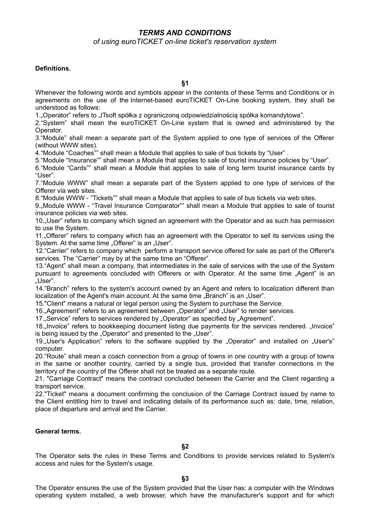# *TERMS AND CONDITIONS*

# *of using euroTICKET on-line ticket's reservation system*

## **Definitions.**

**§1**

Whenever the following words and symbols appear in the contents of these Terms and Conditions or in agreements on the use of the Internet-based euroTICKET On-Line booking system, they shall be understood as follows:

1. Operator" refers to "ITsoft spółka z ograniczona odpowiedzialnością spółka komandytowa".

2."System" shall mean the euroTICKET On-Line system that is owned and administered by the Operator.

3."Module" shall mean a separate part of the System applied to one type of services of the Offerer (without WWW sites).

4."Module "Coaches"" shall mean a Module that applies to sale of bus tickets by "User" .

5."Module "Insurance"" shall mean a Module that applies to sale of tourist insurance policies by "User". 6."Module "Cards"" shall mean a Module that applies to sale of long term tourist insurance cards by "User".

7."Module WWW" shall mean a separate part of the System applied to one type of services of the Offerer via web sites.

8."Module WWW - "Tickets"" shall mean a Module that applies to sale of bus tickets via web sites.

9."Module WWW - "Travel Insurance Comparator"" shall mean a Module that applies to sale of tourist insurance policies via web sites.

10. User" refers to company which signed an agreement with the Operator and as such has permission to use the System.

11."Offerer" refers to company which has an agreement with the Operator to sell its services using the Svstem. At the same time "Offerer" is an "User".

12."Carrier" refers to company which perform a transport service offered for sale as part of the Offerer's services. The "Carrier" may by at the same time an "Offerer".

13."Agent" shall mean a company, that intermediates in the sale of services with the use of the System pursuant to agreements concluded with Offerers or with Operator. At the same time "Agent" is an "User".

14."Branch" refers to the system's account owned by an Agent and refers to localization different than localization of the Agent's main account. At the same time "Branch" is an "User".

15."Client" means a natural or legal person using the System to purchase the Service.

16. Agreement" refers to an agreement between "Operator" and "User" to render services.

17. Service" refers to services rendered by "Operator" as specified by "Agreement".

18. Invoice" refers to bookkeeping document listing due payments for the services rendered. "Invoice" is being issued by the "Operator" and presented to the "User".

19. User's Application" refers to the software supplied by the "Operator" and installed on "User's" computer.

20."Route" shall mean a coach connection from a group of towns in one country with a group of towns in the same or another country, carried by a single bus, provided that transfer connections in the territory of the country of the Offerer shall not be treated as a separate route.

21. "Carriage Contract" means the contract concluded between the Carrier and the Client regarding a transport service.

22."Ticket" means a document confirming the conclusion of the Carriage Contract issued by name to the Client entitling him to travel and indicating details of its performance such as: date, time, relation, place of departure and arrival and the Carrier.

## **General terms.**

**§2**

The Operator sets the rules in these Terms and Conditions to provide services related to System's access and rules for the System's usage.

**§3**

The Operator ensures the use of the System provided that the User has: a computer with the Windows operating system installed, a web browser, which have the manufacturer's support and for which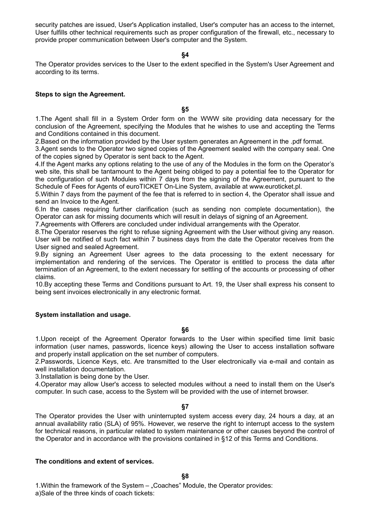security patches are issued, User's Application installed, User's computer has an access to the internet, User fulfills other technical requirements such as proper configuration of the firewall, etc., necessary to provide proper communication between User's computer and the System.

#### **§4**

The Operator provides services to the User to the extent specified in the System's User Agreement and according to its terms.

#### **Steps to sign the Agreement.**

**§5**

1.The Agent shall fill in a System Order form on the WWW site providing data necessary for the conclusion of the Agreement, specifying the Modules that he wishes to use and accepting the Terms and Conditions contained in this document.

2.Based on the information provided by the User system generates an Agreement in the .pdf format.

3.Agent sends to the Operator two signed copies of the Agreement sealed with the company seal. One of the copies signed by Operator is sent back to the Agent.

4.If the Agent marks any options relating to the use of any of the Modules in the form on the Operator's web site, this shall be tantamount to the Agent being obliged to pay a potential fee to the Operator for the configuration of such Modules within 7 days from the signing of the Agreement, pursuant to the Schedule of Fees for Agents of euroTICKET On-Line System, available at www.euroticket.pl.

5.Within 7 days from the payment of the fee that is referred to in section 4, the Operator shall issue and send an Invoice to the Agent.

6.In the cases requiring further clarification (such as sending non complete documentation), the Operator can ask for missing documents which will result in delays of signing of an Agreement.

7.Agreements with Offerers are concluded under individual arrangements with the Operator.

8.The Operator reserves the right to refuse signing Agreement with the User without giving any reason. User will be notified of such fact within 7 business days from the date the Operator receives from the User signed and sealed Agreement.

9.By signing an Agreement User agrees to the data processing to the extent necessary for implementation and rendering of the services. The Operator is entitled to process the data after termination of an Agreement, to the extent necessary for settling of the accounts or processing of other claims.

10.By accepting these Terms and Conditions pursuant to Art. 19, the User shall express his consent to being sent invoices electronically in any electronic format.

#### **System installation and usage.**

**§6**

1.Upon receipt of the Agreement Operator forwards to the User within specified time limit basic information (user names, passwords, licence keys) allowing the User to access installation software and properly install application on the set number of computers.

2.Passwords, Licence Keys, etc. Are transmitted to the User electronically via e-mail and contain as well installation documentation.

3.Installation is being done by the User.

4.Operator may allow User's access to selected modules without a need to install them on the User's computer. In such case, access to the System will be provided with the use of internet browser.

**§7**

The Operator provides the User with uninterrupted system access every day, 24 hours a day, at an annual availability ratio (SLA) of 95%. However, we reserve the right to interrupt access to the system for technical reasons, in particular related to system maintenance or other causes beyond the control of the Operator and in accordance with the provisions contained in §12 of this Terms and Conditions.

## **The conditions and extent of services.**

**§8**

1. Within the framework of the System - "Coaches" Module, the Operator provides: a)Sale of the three kinds of coach tickets: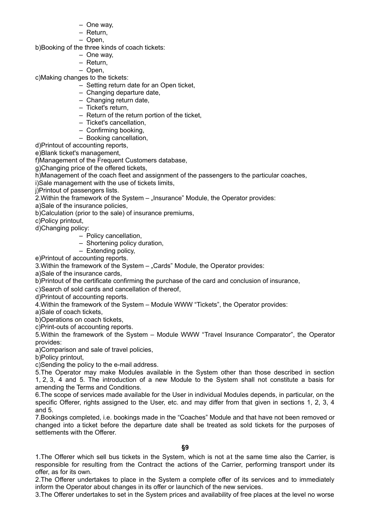- One way,
- Return,
- Open,

b)Booking of the three kinds of coach tickets:

- One way,
- Return,
- Open,

c)Making changes to the tickets:

- Setting return date for an Open ticket,
	- Changing departure date,
	- Changing return date,
	- Ticket's return,
	- Return of the return portion of the ticket,
	- Ticket's cancellation,
	- Confirming booking,
- Booking cancellation,

d)Printout of accounting reports,

e)Blank ticket's management,

f)Management of the Frequent Customers database,

g)Changing price of the offered tickets,

h)Management of the coach fleet and assignment of the passengers to the particular coaches,

i)Sale management with the use of tickets limits,

j)Printout of passengers lists.

 $2.$  Within the framework of the System  $-$  "Insurance" Module, the Operator provides:

a)Sale of the insurance policies,

b)Calculation (prior to the sale) of insurance premiums,

c)Policy printout,

d)Changing policy:

- Policy cancellation,
- Shortening policy duration,
- Extending policy,
- e)Printout of accounting reports.

3. Within the framework of the System - "Cards" Module, the Operator provides:

a)Sale of the insurance cards,

b)Printout of the certificate confirming the purchase of the card and conclusion of insurance,

c)Search of sold cards and cancellation of thereof,

d)Printout of accounting reports.

4.Within the framework of the System – Module WWW "Tickets", the Operator provides:

a)Sale of coach tickets,

b)Operations on coach tickets,

c)Print-outs of accounting reports.

5.Within the framework of the System – Module WWW "Travel Insurance Comparator", the Operator provides:

a)Comparison and sale of travel policies,

b)Policy printout,

c)Sending the policy to the e-mail address.

5.The Operator may make Modules available in the System other than those described in section 1, 2, 3, 4 and 5. The introduction of a new Module to the System shall not constitute a basis for amending the Terms and Conditions.

6.The scope of services made available for the User in individual Modules depends, in particular, on the specific Offerer, rights assigned to the User, etc. and may differ from that given in sections 1, 2, 3, 4 and 5.

7.Bookings completed, i.e. bookings made in the "Coaches" Module and that have not been removed or changed into a ticket before the departure date shall be treated as sold tickets for the purposes of settlements with the Offerer.

**§9**

1.The Offerer which sell bus tickets in the System, which is not at the same time also the Carrier, is responsible for resulting from the Contract the actions of the Carrier, performing transport under its offer, as for its own.

2.The Offerer undertakes to place in the System a complete offer of its services and to immediately inform the Operator about changes in its offer or launchich of the new services.

3.The Offerer undertakes to set in the System prices and availability of free places at the level no worse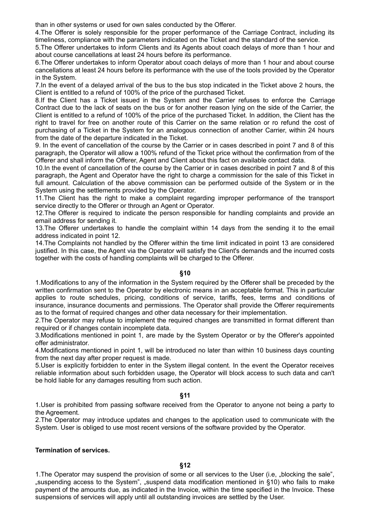than in other systems or used for own sales conducted by the Offerer.

4.The Offerer is solely responsible for the proper performance of the Carriage Contract, including its timeliness, compliance with the parameters indicated on the Ticket and the standard of the service.

5.The Offerer undertakes to inform Clients and its Agents about coach delays of more than 1 hour and about course cancellations at least 24 hours before its performance.

6.The Offerer undertakes to inform Operator about coach delays of more than 1 hour and about course cancellations at least 24 hours before its performance with the use of the tools provided by the Operator in the System.

7.In the event of a delayed arrival of the bus to the bus stop indicated in the Ticket above 2 hours, the Client is entitled to a refund of 100% of the price of the purchased Ticket.

8.If the Client has a Ticket issued in the System and the Carrier refuses to enforce the Carriage Contract due to the lack of seats on the bus or for another reason lying on the side of the Carrier, the Client is entitled to a refund of 100% of the price of the purchased Ticket. In addition, the Client has the right to travel for free on another route of this Carrier on the same relation or ro refund the cost of purchasing of a Ticket in the System for an analogous connection of another Carrier, within 24 hours from the date of the departure indicated in the Ticket.

9. In the event of cancellation of the course by the Carrier or in cases described in point 7 and 8 of this paragraph, the Operator will allow a 100% refund of the Ticket price without the confirmation from of the Offerer and shall inform the Offerer, Agent and Client about this fact on available contact data.

10.In the event of cancellation of the course by the Carrier or in cases described in point 7 and 8 of this paragraph, the Agent and Operator have the right to charge a commission for the sale of this Ticket in full amount. Calculation of the above commission can be performed outside of the System or in the System using the settlements provided by the Operator.

11.The Client has the right to make a complaint regarding improper performance of the transport service directly to the Offerer or through an Agent or Operator.

12.The Offerer is required to indicate the person responsible for handling complaints and provide an email address for sending it.

13.The Offerer undertakes to handle the complaint within 14 days from the sending it to the email address indicated in point 12.

14.The Complaints not handled by the Offerer within the time limit indicated in point 13 are considered justified. In this case, the Agent via the Operator will satisfy the Client's demands and the incurred costs together with the costs of handling complaints will be charged to the Offerer.

# **§10**

1.Modifications to any of the information in the System required by the Offerer shall be preceded by the written confirmation sent to the Operator by electronic means in an acceptable format. This in particular applies to route schedules, pricing, conditions of service, tariffs, fees, terms and conditions of insurance, insurance documents and permissions. The Operator shall provide the Offerer requirements as to the format of required changes and other data necessary for their implementation.

2.The Operator may refuse to implement the required changes are transmitted in format different than required or if changes contain incomplete data.

3.Modifications mentioned in point 1, are made by the System Operator or by the Offerer's appointed offer administrator.

4.Modifications mentioned in point 1, will be introduced no later than within 10 business days counting from the next day after proper request is made.

5.User is explicitly forbidden to enter in the System illegal content. In the event the Operator receives reliable information about such forbidden usage, the Operator will block access to such data and can't be hold liable for any damages resulting from such action.

#### **§11**

1.User is prohibited from passing software received from the Operator to anyone not being a party to the Agreement.

2.The Operator may introduce updates and changes to the application used to communicate with the System. User is obliged to use most recent versions of the software provided by the Operator.

#### **Termination of services.**

## **§12**

1.The Operator may suspend the provision of some or all services to the User (i.e, "blocking the sale", "suspending access to the System", "suspend data modification mentioned in §10) who fails to make payment of the amounts due, as indicated in the Invoice, within the time specified in the Invoice. These suspensions of services will apply until all outstanding invoices are settled by the User.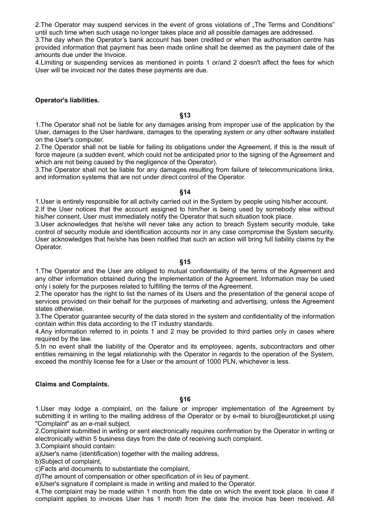2. The Operator may suspend services in the event of gross violations of "The Terms and Conditions" until such time when such usage no longer takes place and all possible damages are addressed.

3.The day when the Operator's bank account has been credited or when the authorisation centre has provided information that payment has been made online shall be deemed as the payment date of the amounts due under the Invoice.

4.Limiting or suspending services as mentioned in points 1 or/and 2 doesn't affect the fees for which User will be invoiced nor the dates these payments are due.

#### **Operator's liabilities.**

**§13**

1.The Operator shall not be liable for any damages arising from improper use of the application by the User, damages to the User hardware, damages to the operating system or any other software installed on the User's computer.

2.The Operator shall not be liable for failing its obligations under the Agreement, if this is the result of force majeure (a sudden event, which could not be anticipated prior to the signing of the Agreement and which are not being caused by the negligence of the Operator).

3.The Operator shall not be liable for any damages resulting from failure of telecommunications links, and information systems that are not under direct control of the Operator.

#### **§14**

1.User is entirely responsible for all activity carried out in the System by people using his/her account. 2.If the User notices that the account assigned to him/her is being used by somebody else without his/her consent, User must immediately notify the Operator that such situation took place.

3.User acknowledges that he/she will never take any action to breach System security module, take control of security module and identification accounts nor in any case compromise the System security. User acknowledges that he/she has been notified that such an action will bring full liability claims by the Operator.

**§15**

1.The Operator and the User are obliged to mutual confidentiality of the terms of the Agreement and any other information obtained during the implementation of the Agreement. Information may be used only i solely for the purposes related to fulfilling the terms of the Agreement.

2.The operator has the right to list the names of its Users and the presentation of the general scope of services provided on their behalf for the purposes of marketing and advertising, unless the Agreement states otherwise.

3.The Operator guarantee security of the data stored in the system and confidentiality of the information contain within this data according to the IT industry standards.

4.Any information referred to in points 1 and 2 may be provided to third parties only in cases where required by the law.

5.In no event shall the liability of the Operator and its employees, agents, subcontractors and other entities remaining in the legal relationship with the Operator in regards to the operation of the System, exceed the monthly license fee for a User or the amount of 1000 PLN, whichever is less.

#### **Claims and Complaints.**

**§16**

1.User may lodge a complaint, on the failure or improper implementation of the Agreement by submitting it in writing to the mailing address of the Operator or by e-mail to biuro@euroticket.pl using "Complaint" as an e-mail subject.

2.Complaint submitted in writing or sent electronically requires confirmation by the Operator in writing or electronically within 5 business days from the date of receiving such complaint.

3.Complaint should contain:

a)User's name (identification) together with the mailing address,

b)Subject of complaint,

c)Facts and documents to substantiate the complaint,

d)The amount of compensation or other specification of in lieu of payment.

e)User's signature if complaint is made in writing and mailed to the Operator.

4.The complaint may be made within 1 month from the date on which the event took place. In case if complaint applies to invoices User has 1 month from the date the invoice has been received. All